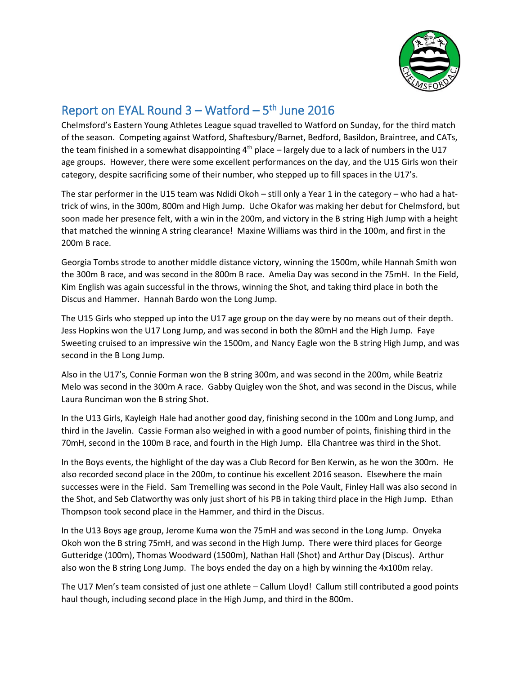

## Report on EYAL Round  $3 - W$ atford  $-5$ <sup>th</sup> June 2016

Chelmsford's Eastern Young Athletes League squad travelled to Watford on Sunday, for the third match of the season. Competing against Watford, Shaftesbury/Barnet, Bedford, Basildon, Braintree, and CATs, the team finished in a somewhat disappointing  $4<sup>th</sup>$  place – largely due to a lack of numbers in the U17 age groups. However, there were some excellent performances on the day, and the U15 Girls won their category, despite sacrificing some of their number, who stepped up to fill spaces in the U17's.

The star performer in the U15 team was Ndidi Okoh – still only a Year 1 in the category – who had a hattrick of wins, in the 300m, 800m and High Jump. Uche Okafor was making her debut for Chelmsford, but soon made her presence felt, with a win in the 200m, and victory in the B string High Jump with a height that matched the winning A string clearance! Maxine Williams was third in the 100m, and first in the 200m B race.

Georgia Tombs strode to another middle distance victory, winning the 1500m, while Hannah Smith won the 300m B race, and was second in the 800m B race. Amelia Day was second in the 75mH. In the Field, Kim English was again successful in the throws, winning the Shot, and taking third place in both the Discus and Hammer. Hannah Bardo won the Long Jump.

The U15 Girls who stepped up into the U17 age group on the day were by no means out of their depth. Jess Hopkins won the U17 Long Jump, and was second in both the 80mH and the High Jump. Faye Sweeting cruised to an impressive win the 1500m, and Nancy Eagle won the B string High Jump, and was second in the B Long Jump.

Also in the U17's, Connie Forman won the B string 300m, and was second in the 200m, while Beatriz Melo was second in the 300m A race. Gabby Quigley won the Shot, and was second in the Discus, while Laura Runciman won the B string Shot.

In the U13 Girls, Kayleigh Hale had another good day, finishing second in the 100m and Long Jump, and third in the Javelin. Cassie Forman also weighed in with a good number of points, finishing third in the 70mH, second in the 100m B race, and fourth in the High Jump. Ella Chantree was third in the Shot.

In the Boys events, the highlight of the day was a Club Record for Ben Kerwin, as he won the 300m. He also recorded second place in the 200m, to continue his excellent 2016 season. Elsewhere the main successes were in the Field. Sam Tremelling was second in the Pole Vault, Finley Hall was also second in the Shot, and Seb Clatworthy was only just short of his PB in taking third place in the High Jump. Ethan Thompson took second place in the Hammer, and third in the Discus.

In the U13 Boys age group, Jerome Kuma won the 75mH and was second in the Long Jump. Onyeka Okoh won the B string 75mH, and was second in the High Jump. There were third places for George Gutteridge (100m), Thomas Woodward (1500m), Nathan Hall (Shot) and Arthur Day (Discus). Arthur also won the B string Long Jump. The boys ended the day on a high by winning the 4x100m relay.

The U17 Men's team consisted of just one athlete – Callum Lloyd! Callum still contributed a good points haul though, including second place in the High Jump, and third in the 800m.